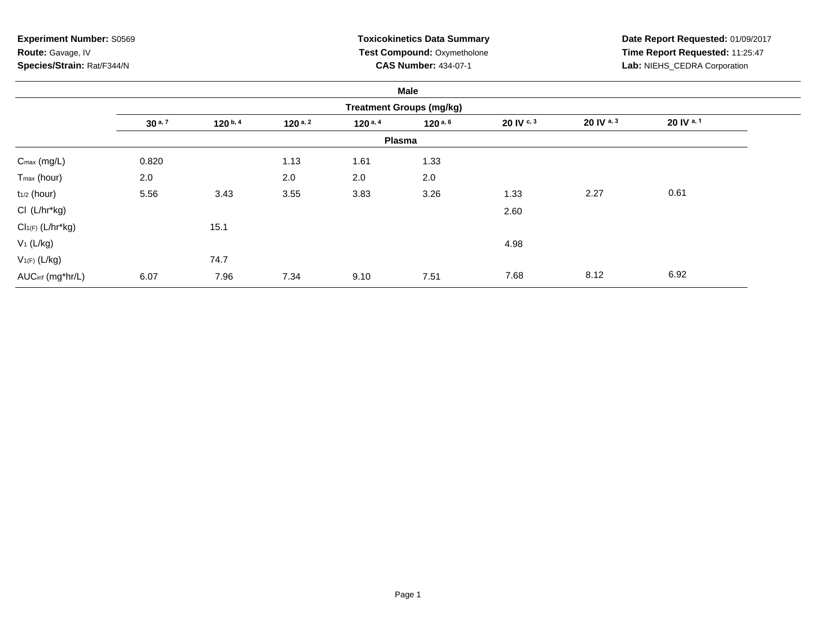**Experiment Number:** S0569**Route:** Gavage, IV**Species/Strain:** Rat/F344/N

# **Toxicokinetics Data Summary Test Compound:** Oxymetholone**CAS Number:** 434-07-1

**Date Report Requested:** 01/09/2017 **Time Report Requested:** 11:25:47**Lab:** NIEHS\_CEDRA Corporation

|                         |             |              |              |            | Male                            |            |              |            |  |
|-------------------------|-------------|--------------|--------------|------------|---------------------------------|------------|--------------|------------|--|
|                         |             |              |              |            | <b>Treatment Groups (mg/kg)</b> |            |              |            |  |
|                         | $30^{a, 7}$ | $120^{b, 4}$ | $120^{a, 2}$ | 120 $a, 4$ | $120^{a, 6}$                    | 20 IV c, 3 | 20 IV a, $3$ | 20 IV a, 1 |  |
|                         |             |              |              |            | <b>Plasma</b>                   |            |              |            |  |
| $C_{\text{max}}$ (mg/L) | 0.820       |              | 1.13         | 1.61       | 1.33                            |            |              |            |  |
| T <sub>max</sub> (hour) | 2.0         |              | 2.0          | 2.0        | 2.0                             |            |              |            |  |
| $t_{1/2}$ (hour)        | 5.56        | 3.43         | 3.55         | 3.83       | 3.26                            | 1.33       | 2.27         | 0.61       |  |
| CI (L/hr*kg)            |             |              |              |            |                                 | 2.60       |              |            |  |
| $Cl_{1(F)}(L/hr*kg)$    |             | 15.1         |              |            |                                 |            |              |            |  |
| $V_1$ (L/kg)            |             |              |              |            |                                 | 4.98       |              |            |  |
| $V_{1(F)}$ (L/kg)       |             | 74.7         |              |            |                                 |            |              |            |  |
| AUCinf (mg*hr/L)        | 6.07        | 7.96         | 7.34         | 9.10       | 7.51                            | 7.68       | 8.12         | 6.92       |  |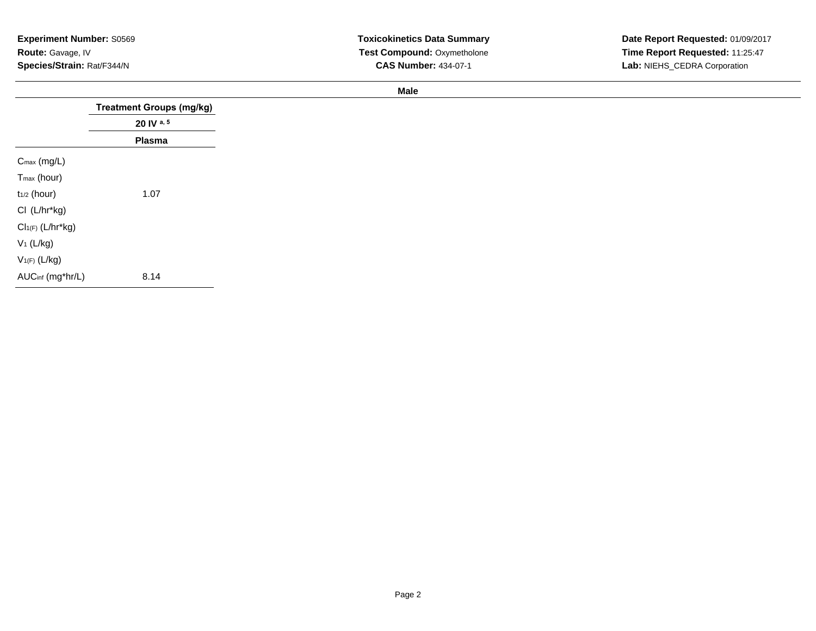| <b>Experiment Number: S0569</b> |
|---------------------------------|
| <b>Route:</b> Gavage, IV        |
| Species/Strain: Rat/F344/N      |

**Male**

|                         | <b>Treatment Groups (mg/kg)</b> |
|-------------------------|---------------------------------|
|                         | 20 IV a, 5                      |
|                         | Plasma                          |
| $C_{\text{max}}$ (mg/L) |                                 |
| T <sub>max</sub> (hour) |                                 |
| $t_{1/2}$ (hour)        | 1.07                            |
| CI (L/hr*kg)            |                                 |
| $Cl1(F) (L/hr*kg)$      |                                 |
| $V_1$ (L/kg)            |                                 |
| $V_{1(F)}(L/kg)$        |                                 |
| AUCinf (mg*hr/L)        | 8.14                            |